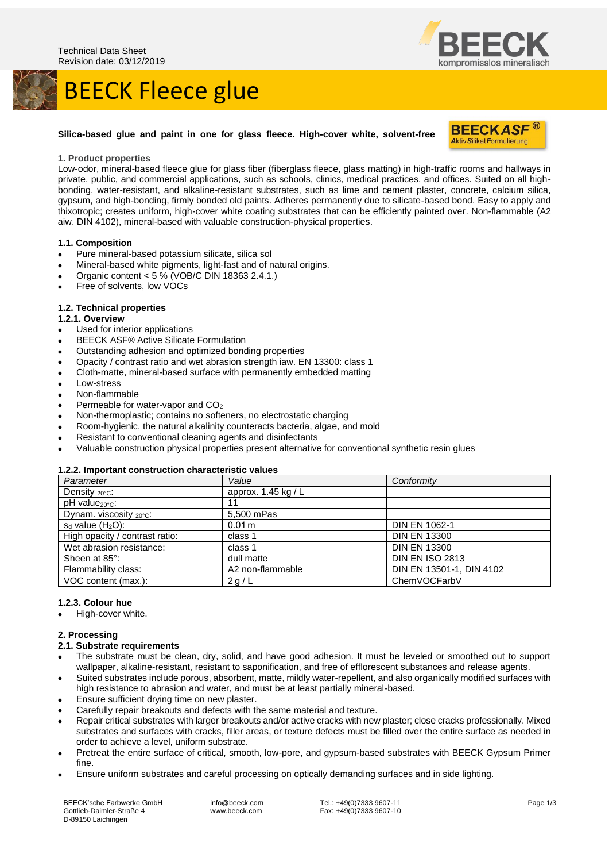# BEECK Fleece glue



### **Silica-based glue and paint in one for glass fleece. High-cover white, solvent-free**



#### **1. Product properties**

Low-odor, mineral-based fleece glue for glass fiber (fiberglass fleece, glass matting) in high-traffic rooms and hallways in private, public, and commercial applications, such as schools, clinics, medical practices, and offices. Suited on all highbonding, water-resistant, and alkaline-resistant substrates, such as lime and cement plaster, concrete, calcium silica, gypsum, and high-bonding, firmly bonded old paints. Adheres permanently due to silicate-based bond. Easy to apply and thixotropic; creates uniform, high-cover white coating substrates that can be efficiently painted over. Non-flammable (A2 aiw. DIN 4102), mineral-based with valuable construction-physical properties.

#### **1.1. Composition**

- Pure mineral-based potassium silicate, silica sol
- Mineral-based white pigments, light-fast and of natural origins.
- Organic content < 5 % (VOB/C DIN 18363 2.4.1.)
- Free of solvents, low VOCs

#### **1.2. Technical properties**

- **1.2.1. Overview**
- Used for interior applications
- BEECK ASF® Active Silicate Formulation
- Outstanding adhesion and optimized bonding properties
- Opacity / contrast ratio and wet abrasion strength iaw. EN 13300: class 1
- Cloth-matte, mineral-based surface with permanently embedded matting
- Low-stress
- Non-flammable
- Permeable for water-vapor and CO<sub>2</sub>
- Non-thermoplastic; contains no softeners, no electrostatic charging
- Room-hygienic, the natural alkalinity counteracts bacteria, algae, and mold
- Resistant to conventional cleaning agents and disinfectants
- Valuable construction physical properties present alternative for conventional synthetic resin glues

#### **1.2.2. Important construction characteristic values**

| Parameter                        | Value                 | Conformity               |
|----------------------------------|-----------------------|--------------------------|
| Density $20^{\circ}$ c:          | approx. $1.45$ kg / L |                          |
| $pH$ value $_{20^{\circ}C}$ :    | 11                    |                          |
| Dynam. viscosity $20^{\circ}$ c: | 5,500 mPas            |                          |
| $s_d$ value $(H_2O)$ :           | 0.01 m                | <b>DIN EN 1062-1</b>     |
| High opacity / contrast ratio:   | class 1               | <b>DIN EN 13300</b>      |
| Wet abrasion resistance:         | class 1               | <b>DIN EN 13300</b>      |
| Sheen at 85°:                    | dull matte            | <b>DIN EN ISO 2813</b>   |
| Flammability class:              | A2 non-flammable      | DIN EN 13501-1, DIN 4102 |
| VOC content (max.):              | 2g/L                  | ChemVOCFarbV             |

#### **1.2.3. Colour hue**

High-cover white.

#### **2. Processing**

- **2.1. Substrate requirements**
- The substrate must be clean, dry, solid, and have good adhesion. It must be leveled or smoothed out to support wallpaper, alkaline-resistant, resistant to saponification, and free of efflorescent substances and release agents.
- Suited substrates include porous, absorbent, matte, mildly water-repellent, and also organically modified surfaces with high resistance to abrasion and water, and must be at least partially mineral-based.
- Ensure sufficient drying time on new plaster.
- Carefully repair breakouts and defects with the same material and texture.
- Repair critical substrates with larger breakouts and/or active cracks with new plaster; close cracks professionally. Mixed substrates and surfaces with cracks, filler areas, or texture defects must be filled over the entire surface as needed in order to achieve a level, uniform substrate.
- Pretreat the entire surface of critical, smooth, low-pore, and gypsum-based substrates with BEECK Gypsum Primer fine.
- Ensure uniform substrates and careful processing on optically demanding surfaces and in side lighting.

BEECK'sche Farbwerke GmbH Gottlieb-Daimler-Straße 4 D-89150 Laichingen

info@beeck.com www.beeck.com

Tel.: +49(0)7333 9607-11 Fax: +49(0)7333 9607-10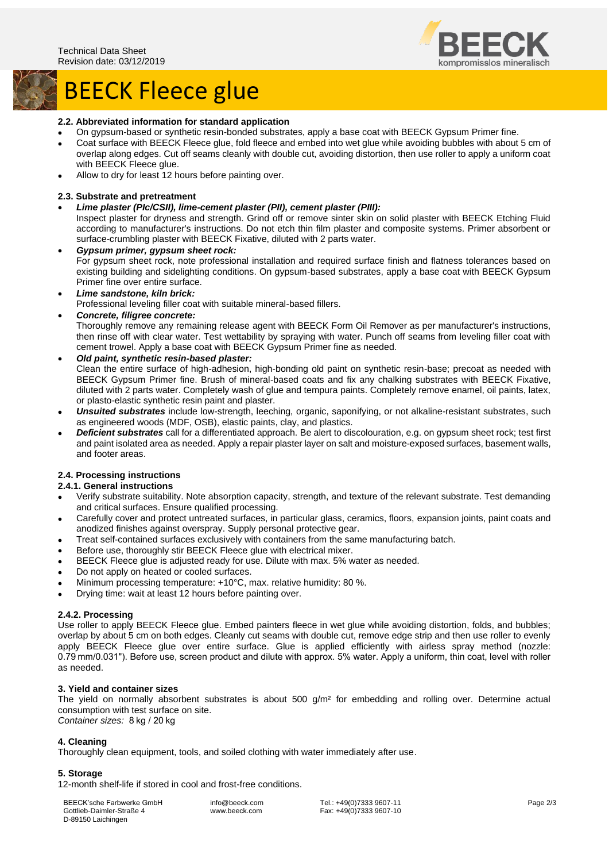

## BEECK Fleece glue

#### **2.2. Abbreviated information for standard application**

- On gypsum-based or synthetic resin-bonded substrates, apply a base coat with BEECK Gypsum Primer fine.
- Coat surface with BEECK Fleece glue, fold fleece and embed into wet glue while avoiding bubbles with about 5 cm of overlap along edges. Cut off seams cleanly with double cut, avoiding distortion, then use roller to apply a uniform coat with BEECK Fleece glue.
- Allow to dry for least 12 hours before painting over.

#### **2.3. Substrate and pretreatment**

#### • *Lime plaster (PIc/CSII), lime-cement plaster (PII), cement plaster (PIII):*

Inspect plaster for dryness and strength. Grind off or remove sinter skin on solid plaster with BEECK Etching Fluid according to manufacturer's instructions. Do not etch thin film plaster and composite systems. Primer absorbent or surface-crumbling plaster with BEECK Fixative, diluted with 2 parts water.

- *Gypsum primer, gypsum sheet rock:* For gypsum sheet rock, note professional installation and required surface finish and flatness tolerances based on existing building and sidelighting conditions. On gypsum-based substrates, apply a base coat with BEECK Gypsum Primer fine over entire surface.
- *Lime sandstone, kiln brick:* Professional leveling filler coat with suitable mineral-based fillers.
- *Concrete, filigree concrete:*

Thoroughly remove any remaining release agent with BEECK Form Oil Remover as per manufacturer's instructions, then rinse off with clear water. Test wettability by spraying with water. Punch off seams from leveling filler coat with cement trowel. Apply a base coat with BEECK Gypsum Primer fine as needed.

#### • *Old paint, synthetic resin-based plaster:*

Clean the entire surface of high-adhesion, high-bonding old paint on synthetic resin-base; precoat as needed with BEECK Gypsum Primer fine. Brush of mineral-based coats and fix any chalking substrates with BEECK Fixative, diluted with 2 parts water. Completely wash of glue and tempura paints. Completely remove enamel, oil paints, latex, or plasto-elastic synthetic resin paint and plaster.

- *Unsuited substrates* include low-strength, leeching, organic, saponifying, or not alkaline-resistant substrates, such as engineered woods (MDF, OSB), elastic paints, clay, and plastics.
- *Deficient substrates* call for a differentiated approach. Be alert to discolouration, e.g. on gypsum sheet rock; test first and paint isolated area as needed. Apply a repair plaster layer on salt and moisture-exposed surfaces, basement walls, and footer areas.

#### **2.4. Processing instructions**

#### **2.4.1. General instructions**

- Verify substrate suitability. Note absorption capacity, strength, and texture of the relevant substrate. Test demanding and critical surfaces. Ensure qualified processing.
- Carefully cover and protect untreated surfaces, in particular glass, ceramics, floors, expansion joints, paint coats and anodized finishes against overspray. Supply personal protective gear.
- Treat self-contained surfaces exclusively with containers from the same manufacturing batch.
- Before use, thoroughly stir BEECK Fleece glue with electrical mixer.
- BEECK Fleece glue is adjusted ready for use. Dilute with max. 5% water as needed.
- Do not apply on heated or cooled surfaces.
- Minimum processing temperature: +10°C, max. relative humidity: 80 %.
- Drying time: wait at least 12 hours before painting over.

#### **2.4.2. Processing**

Use roller to apply BEECK Fleece glue. Embed painters fleece in wet glue while avoiding distortion, folds, and bubbles; overlap by about 5 cm on both edges. Cleanly cut seams with double cut, remove edge strip and then use roller to evenly apply BEECK Fleece glue over entire surface. Glue is applied efficiently with airless spray method (nozzle: 0.79 mm/0.031"). Before use, screen product and dilute with approx. 5% water. Apply a uniform, thin coat, level with roller as needed.

#### **3. Yield and container sizes**

The yield on normally absorbent substrates is about 500 g/m² for embedding and rolling over. Determine actual consumption with test surface on site.

*Container sizes:* 8 kg / 20 kg

#### **4. Cleaning**

Thoroughly clean equipment, tools, and soiled clothing with water immediately after use.

#### **5. Storage**

12-month shelf-life if stored in cool and frost-free conditions.